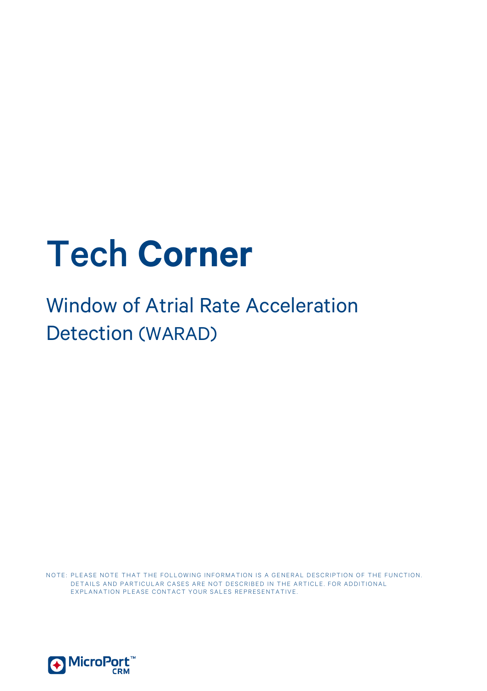# Tech **Corner**

# Window of Atrial Rate Acceleration Detection (WARAD)

NOTE: PLEASE NOTE THAT THE FOLLOWING INFORMATION IS A GENERAL DESCRIPTION OF THE FUNCTION. DETAILS AND PARTICULAR CASES ARE NOT DESCRIBED IN THE ARTICLE. FOR ADDITIONAL EXPLANATION PLEASE CONTACT YOUR SALES REPRESENTATIVE.

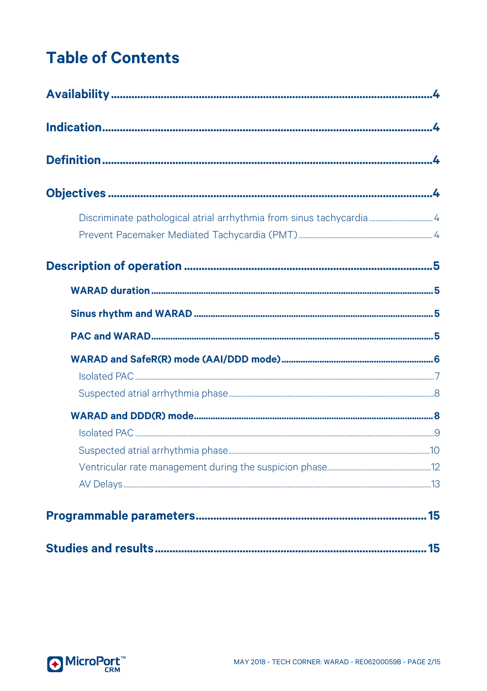# **Table of Contents**

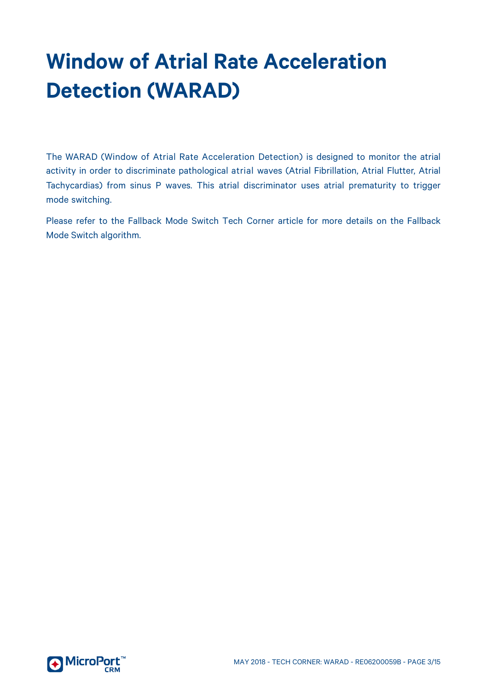# **Window of Atrial Rate Acceleration Detection (WARAD)**

The WARAD (Window of Atrial Rate Acceleration Detection) is designed to monitor the atrial activity in order to discriminate pathological atrial waves (Atrial Fibrillation, Atrial Flutter, Atrial Tachycardias) from sinus P waves. This atrial discriminator uses atrial prematurity to trigger mode switching.

Please refer to the Fallback Mode Switch Tech Corner article for more details on the Fallback Mode Switch algorithm.

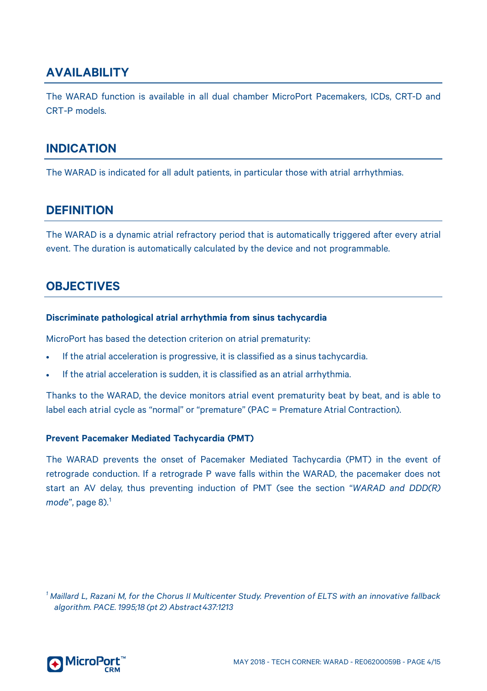# <span id="page-3-0"></span>**AVAILABILITY**

The WARAD function is available in all dual chamber MicroPort Pacemakers, ICDs, CRT-D and CRT-P models.

### <span id="page-3-1"></span>**INDICATION**

<span id="page-3-2"></span>The WARAD is indicated for all adult patients, in particular those with atrial arrhythmias.

# **DEFINITION**

The WARAD is a dynamic atrial refractory period that is automatically triggered after every atrial event. The duration is automatically calculated by the device and not programmable.

## <span id="page-3-3"></span>**OBJECTIVES**

#### <span id="page-3-4"></span>**Discriminate pathological atrial arrhythmia from sinus tachycardia**

MicroPort has based the detection criterion on atrial prematurity:

- If the atrial acceleration is progressive, it is classified as a sinus tachycardia.
- If the atrial acceleration is sudden, it is classified as an atrial arrhythmia.

Thanks to the WARAD, the device monitors atrial event prematurity beat by beat, and is able to label each atrial cycle as "normal" or "premature" (PAC = Premature Atrial Contraction).

#### <span id="page-3-5"></span>**Prevent Pacemaker Mediated Tachycardia (PMT)**

The WARAD prevents the onset of Pacemaker Mediated Tachycardia (PMT) in the event of retrograde conduction. If a retrograde P wave falls within the WARAD, the pacemaker does not start an AV delay, thus preventing induction of PMT (see the section "*WARAD and DDD(R) mode*", pag[e 8\)](#page-7-2). [1](#page-3-6)

<span id="page-3-6"></span><sup>1</sup> Maillard L, Razani M, for the Chorus II Multicenter Study. Prevention of ELTS with an innovative fallback *algorithm. PACE. 1995;18 (pt 2) Abstract437:1213*

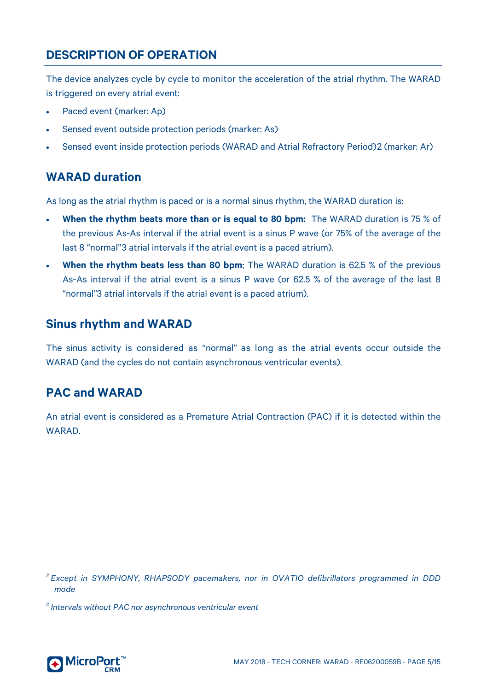# <span id="page-4-0"></span>**DESCRIPTION OF OPERATION**

The device analyzes cycle by cycle to monitor the acceleration of the atrial rhythm. The WARAD is triggered on every atrial event:

- Paced event (marker: Ap)
- Sensed event outside protection periods (marker: As)
- Sensed event inside protection periods (WARAD and Atrial Refractory Period)[2](#page-4-4) (marker: Ar)

# <span id="page-4-1"></span>**WARAD duration**

As long as the atrial rhythm is paced or is a normal sinus rhythm, the WARAD duration is:

- **When the rhythm beats more than or is equal to 80 bpm:** The WARAD duration is 75 % of the previous As-As interval if the atrial event is a sinus P wave (or 75% of the average of the last 8 "normal"[3](#page-4-5) atrial intervals if the atrial event is a paced atrium).
- **When the rhythm beats less than 80 bpm:** The WARAD duration is 62.5 % of the previous As-As interval if the atrial event is a sinus P wave (or 62.5 % of the average of the last 8 "normal"3 atrial intervals if the atrial event is a paced atrium).

# <span id="page-4-2"></span>**Sinus rhythm and WARAD**

The sinus activity is considered as "normal" as long as the atrial events occur outside the WARAD (and the cycles do not contain asynchronous ventricular events).

## <span id="page-4-3"></span>**PAC and WARAD**

An atrial event is considered as a Premature Atrial Contraction (PAC) if it is detected within the WARAD.

<span id="page-4-4"></span>*<sup>2</sup> Except in SYMPHONY, RHAPSODY pacemakers, nor in OVATIO defibrillators programmed in DDD mode*

<span id="page-4-5"></span>*<sup>3</sup> Intervals without PAC nor asynchronous ventricular event*

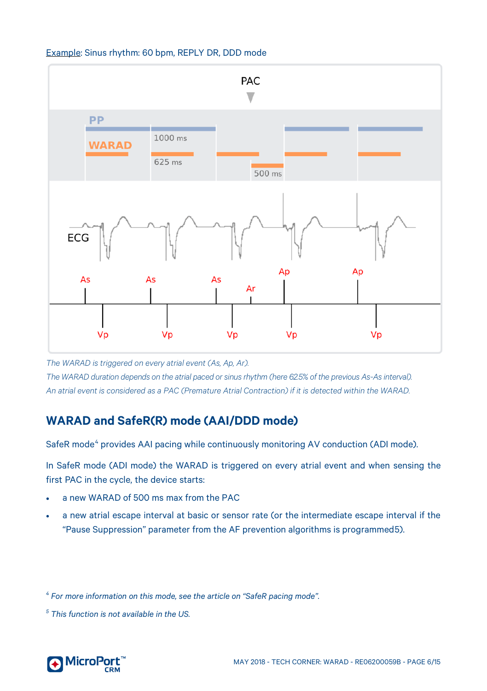

#### Example: Sinus rhythm: 60 bpm, REPLY DR, DDD mode

*The WARAD is triggered on every atrial event (As, Ap, Ar). The WARAD duration depends on the atrial paced or sinus rhythm (here 62.5% of the previous As-Asinterval). An atrial event is considered as a PAC (Premature Atrial Contraction) if it is detected within the WARAD.*

# <span id="page-5-0"></span>**WARAD and SafeR(R) mode (AAI/DDD mode)**

SafeR mode<sup>[4](#page-5-1)</sup> provides AAI pacing while continuously monitoring AV conduction (ADI mode).

In SafeR mode (ADI mode) the WARAD is triggered on every atrial event and when sensing the first PAC in the cycle, the device starts:

- a new WARAD of 500 ms max from the PAC
- a new atrial escape interval at basic or sensor rate (or the intermediate escape interval if the "Pause Suppression" parameter from th[e AF prevention](http://wiknow.sorin.com/doku.php?id=algorithms%3Aaf_prevention) [algorithms](http://wiknow.sorin.com/doku.php?id=algorithms%3Aaf_prevention) is programmed[5\)](#page-5-2).

<span id="page-5-1"></span>*<sup>4</sup> For more information on this mode, see the article on "SafeR pacing mode".*

<span id="page-5-2"></span>*<sup>5</sup> This function is not available in the US.*

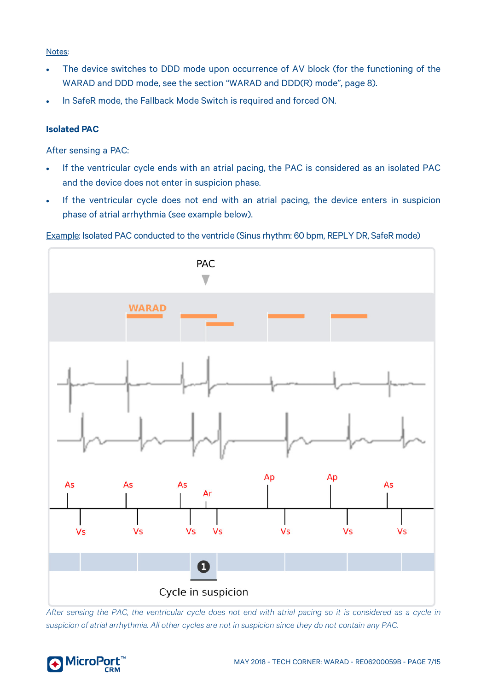#### Notes:

- The device switches to DDD mode upon occurrence of AV block (for the functioning of the WARAD and DDD mode, see the section "WARAD and DDD(R) mode", pag[e 8\)](#page-7-2).
- In SafeR mode, the Fallback Mode Switch is required and forced ON.

#### <span id="page-6-0"></span>**Isolated PAC**

After sensing a PAC:

- If the ventricular cycle ends with an atrial pacing, the PAC is considered as an isolated PAC and the device does not enter in suspicion phase.
- If the ventricular cycle does not end with an atrial pacing, the device enters in suspicion phase of atrial arrhythmia (see example below).





*After sensing the PAC, the ventricular cycle does not end with atrial pacing so it is considered as a cycle in suspicion of atrial arrhythmia. All other cycles are not in suspicion since they do not contain any PAC.*

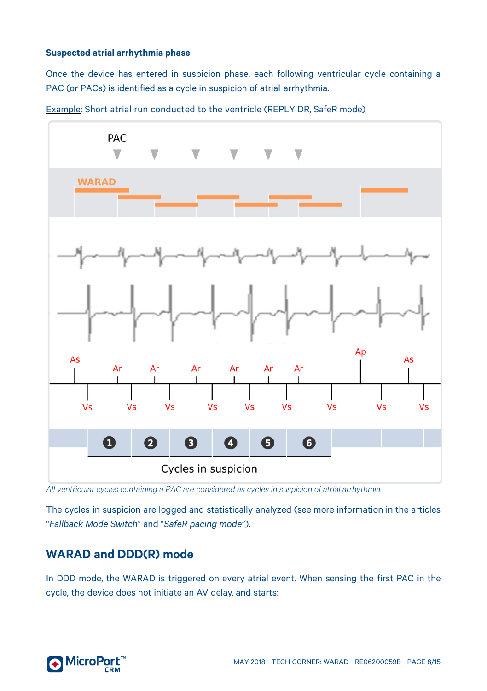#### <span id="page-7-0"></span>**Suspected atrial arrhythmia phase**

Once the device has entered in suspicion phase, each following ventricular cycle containing a PAC (or PACs) is identified as a cycle in suspicion of atrial arrhythmia.



Example: Short atrial run conducted to the ventricle (REPLY DR, SafeR mode)

*All ventricular cycles containing a PAC are considered as cycles in suspicion of atrial arrhythmia.* 

<span id="page-7-2"></span>The cycles in suspicion are logged and statistically analyzed (see more information in the articles "*Fallback Mode Switch*" and "*SafeR pacing mode*").

# <span id="page-7-1"></span>**WARAD and DDD(R) mode**

In DDD mode, the WARAD is triggered on every atrial event. When sensing the first PAC in the cycle, the device does not initiate an AV delay, and starts:

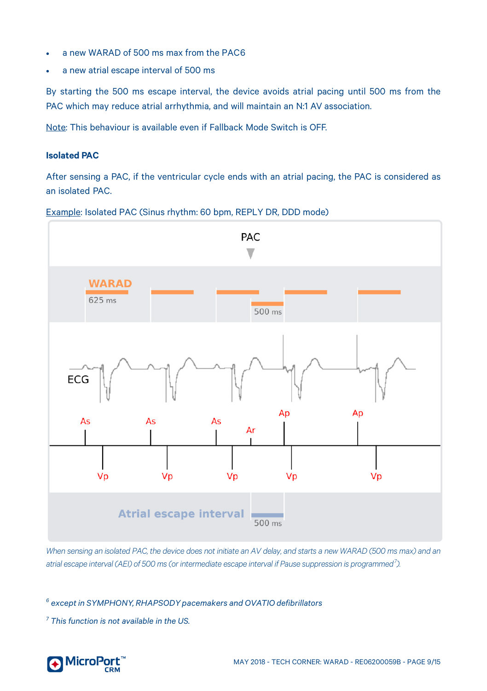- a new WARAD of 500 ms max from the PAC[6](#page-8-1)
- a new atrial escape interval of 500 ms

By starting the 500 ms escape interval, the device avoids atrial pacing until 500 ms from the PAC which may reduce atrial arrhythmia, and will maintain an N:1 AV association.

Note: This behaviour is available even if Fallback Mode Switch is OFF.

#### <span id="page-8-0"></span>**Isolated PAC**

After sensing a PAC, if the ventricular cycle ends with an atrial pacing, the PAC is considered as an isolated PAC.





*When sensing an isolated PAC, the device does not initiate an AV delay, and starts a new WARAD (500 ms max) and an atrial escape interval (AEI) of 500 ms (or intermediate escape interval if Pause suppression is programmed[7](#page-8-2) ).*

<span id="page-8-1"></span>*<sup>6</sup> except in SYMPHONY, RHAPSODYpacemakers and OVATIOdefibrillators*

<span id="page-8-2"></span>*<sup>7</sup> This function is not available in the US.*

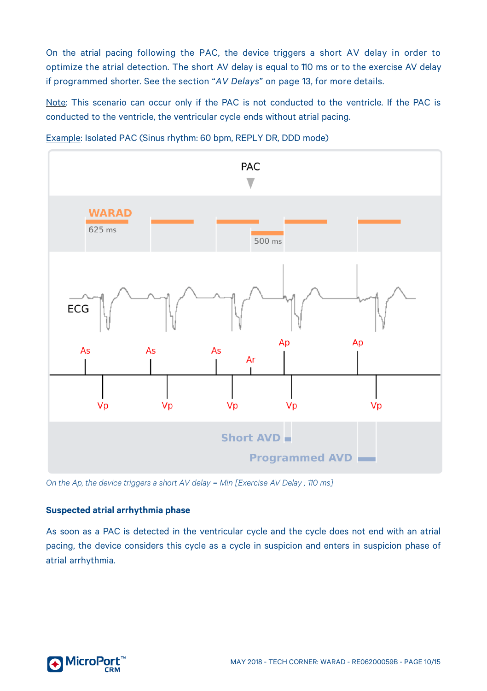On the atrial pacing following the PAC, the device triggers a short AV delay in order to optimize the atrial detection. The short AV delay is equal to 110 ms or to the exercise AV delay if programmed shorter. See the section "*AV Delays*" on pag[e 13,](#page-12-0) for more details.

Note: This scenario can occur only if the PAC is not conducted to the ventricle. If the PAC is conducted to the ventricle, the ventricular cycle ends without atrial pacing.



Example: Isolated PAC (Sinus rhythm: 60 bpm, REPLY DR, DDD mode)

<span id="page-9-0"></span>*On the Ap, the device triggers a short AV delay = Min [Exercise AV Delay ; 110 ms]*

#### **Suspected atrial arrhythmia phase**

As soon as a PAC is detected in the ventricular cycle and the cycle does not end with an atrial pacing, the device considers this cycle as a cycle in suspicion and enters in suspicion phase of atrial arrhythmia.

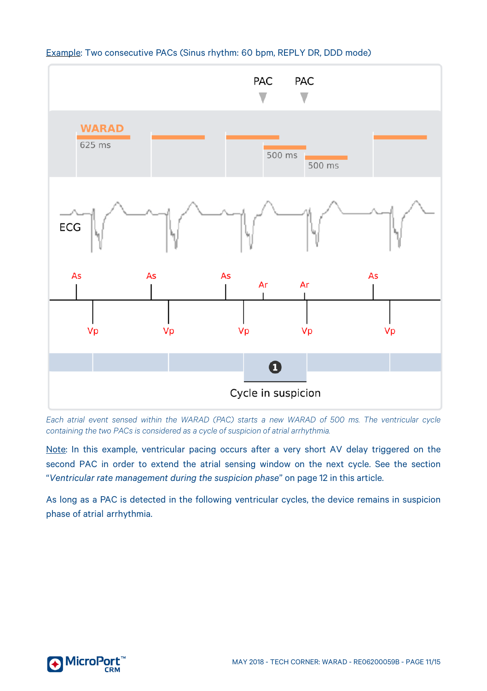

#### Example: Two consecutive PACs (Sinus rhythm: 60 bpm, REPLY DR, DDD mode)

*Each atrial event sensed within the WARAD (PAC) starts a new WARAD of 500 ms. The ventricular cycle containing the two PACs is considered as a cycle of suspicion of atrial arrhythmia.*

Note: In this example, ventricular pacing occurs after a very short AV delay triggered on the second PAC in order to extend the atrial sensing window on the next cycle. See the section "*Ventricular rate management during the suspicion phase*" on pag[e 12](#page-11-0) in this article.

As long as a PAC is detected in the following ventricular cycles, the device remains in suspicion phase of atrial arrhythmia.

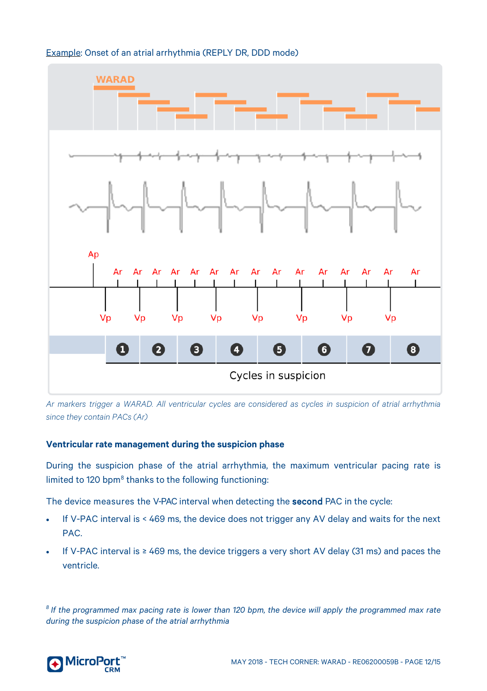#### Example: Onset of an atrial arrhythmia (REPLY DR, DDD mode)



*Ar markers trigger a WARAD. All ventricular cycles are considered as cycles in suspicion of atrial arrhythmia since they contain PACs (Ar)*

#### <span id="page-11-0"></span>**Ventricular rate management during the suspicion phase**

During the suspicion phase of the atrial arrhythmia, the maximum ventricular pacing rate is limited to 120 bpm<sup>[8](#page-11-1)</sup> thanks to the following functioning:

The device measures the V-PAC interval when detecting the **second** PAC in the cycle:

- If V-PAC interval is < 469 ms, the device does not trigger any AV delay and waits for the next PAC.
- If V-PAC interval is ≥ 469 ms, the device triggers a very short AV delay (31 ms) and paces the ventricle.

<span id="page-11-1"></span><sup>8</sup> If the programmed max pacing rate is lower than 120 bpm, the device will apply the programmed max rate *during the suspicion phase of the atrial arrhythmia*

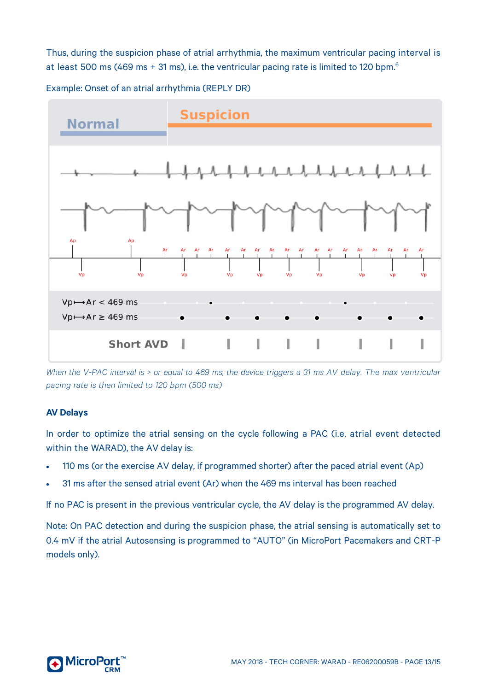Thus, during the suspicion phase of atrial arrhythmia, the maximum ventricular pacing interval is at least 500 ms (469 ms + 31 ms), i.e. the ventricular pacing rate is limited to 120 bpm.<sup>6</sup>

Example: Onset of an atrial arrhythmia (REPLY DR)



*When the V-PAC interval is > or equal to 469 ms, the device triggers a 31 ms AV delay. The max ventricular pacing rate is then limited to 120 bpm (500 ms)*

#### <span id="page-12-0"></span>**AV Delays**

In order to optimize the atrial sensing on the cycle following a PAC (i.e. atrial event detected within the WARAD), the AV delay is:

- 110 ms (or the exercise AV delay, if programmed shorter) after the paced atrial event (Ap)
- 31 ms after the sensed atrial event (Ar) when the 469 ms interval has been reached

If no PAC is present in the previous ventricular cycle, the AV delay is the programmed AV delay.

Note: On PAC detection and during the suspicion phase, the atrial sensing is automatically set to 0.4 mV if the atrial Autosensing is programmed to "AUTO" (in MicroPort Pacemakers and CRT-P models only).

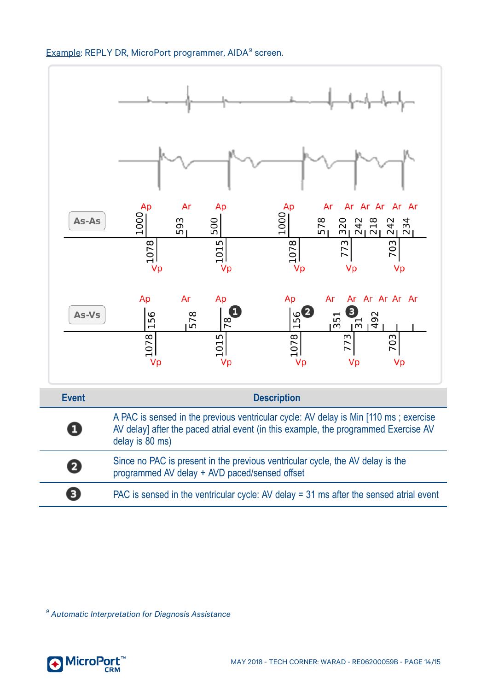### Example: REPLY DR, MicroPort programmer, AIDA[9](#page-13-0) screen.



<span id="page-13-0"></span>*<sup>9</sup> Automatic Interpretation for Diagnosis Assistance*